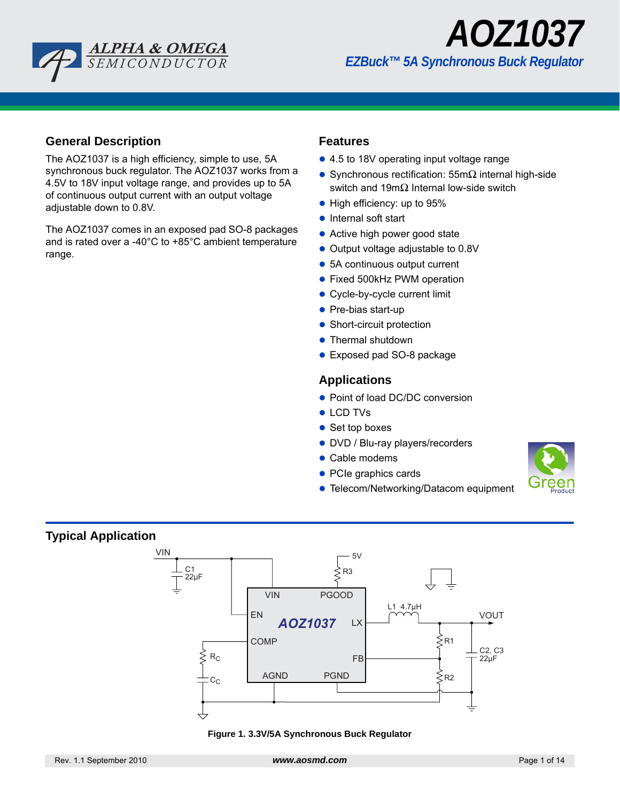



## **General Description**

The AOZ1037 is a high efficiency, simple to use, 5A synchronous buck regulator. The AOZ1037 works from a 4.5V to 18V input voltage range, and provides up to 5A of continuous output current with an output voltage adjustable down to 0.8V.

The AOZ1037 comes in an exposed pad SO-8 packages and is rated over a -40°C to +85°C ambient temperature range.

### **Features**

- 4.5 to 18V operating input voltage range
- Synchronous rectification:  $55m\Omega$  internal high-side switch and 19mΩ Internal low-side switch
- $\bullet$  High efficiency: up to 95%
- $\bullet$  Internal soft start
- Active high power good state
- Output voltage adjustable to 0.8V
- 5A continuous output current
- Fixed 500kHz PWM operation
- Cycle-by-cycle current limit
- $\bullet$  Pre-bias start-up
- Short-circuit protection
- Thermal shutdown
- Exposed pad SO-8 package

### **Applications**

- Point of load DC/DC conversion
- **LCD TVs**
- $\bullet$  Set top boxes
- DVD / Blu-ray players/recorders
- Cable modems
- PCIe graphics cards
- **Telecom/Networking/Datacom equipment**



## **Typical Application**



**Figure 1. 3.3V/5A Synchronous Buck Regulator**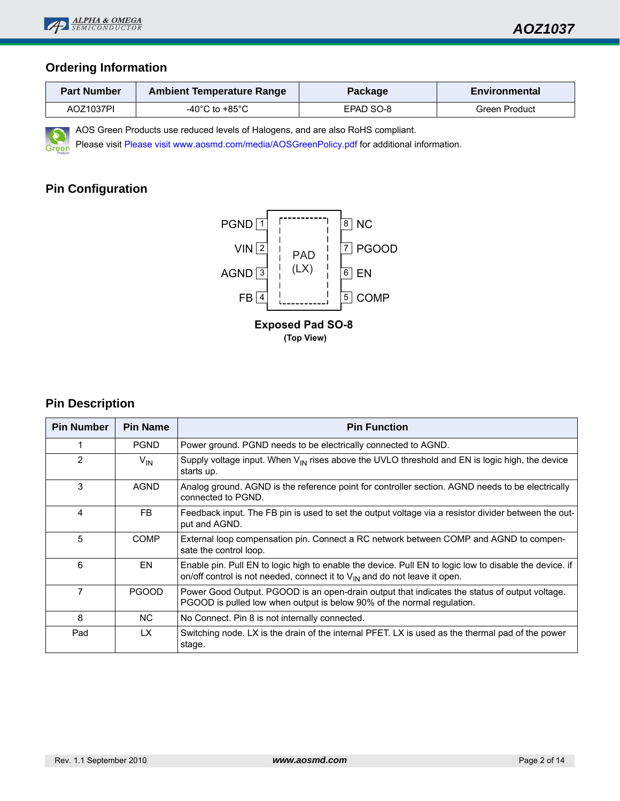

## **Ordering Information**

| <b>Part Number</b> | <b>Ambient Temperature Range</b>     | Package   | Environmental |  |  |
|--------------------|--------------------------------------|-----------|---------------|--|--|
| AOZ1037PI          | -40 $^{\circ}$ C to +85 $^{\circ}$ C | EPAD SO-8 | Green Product |  |  |

AOS Green Products use reduced levels of Halogens, and are also RoHS compliant.

Please visit[Please visit www.aosmd.com/media/AOSGreenPolicy.pdf](www.aosmd.com/media/AOSGreenPolicy.pdf) for additional information.

## **Pin Configuration**

Gr



## **Pin Description**

| <b>Pin Number</b> | <b>Pin Name</b> | <b>Pin Function</b>                                                                                                                                                                      |
|-------------------|-----------------|------------------------------------------------------------------------------------------------------------------------------------------------------------------------------------------|
|                   | <b>PGND</b>     | Power ground. PGND needs to be electrically connected to AGND.                                                                                                                           |
| $\mathcal{P}$     | $V_{IN}$        | Supply voltage input. When $V_{\text{IN}}$ rises above the UVLO threshold and EN is logic high, the device<br>starts up.                                                                 |
| 3                 | <b>AGND</b>     | Analog ground. AGND is the reference point for controller section. AGND needs to be electrically<br>connected to PGND.                                                                   |
| 4                 | FB.             | Feedback input. The FB pin is used to set the output voltage via a resistor divider between the out-<br>put and AGND.                                                                    |
| 5                 | <b>COMP</b>     | External loop compensation pin. Connect a RC network between COMP and AGND to compen-<br>sate the control loop.                                                                          |
| 6                 | EN              | Enable pin. Pull EN to logic high to enable the device. Pull EN to logic low to disable the device. if<br>on/off control is not needed, connect it to $V_{IN}$ and do not leave it open. |
| 7                 | <b>PGOOD</b>    | Power Good Output. PGOOD is an open-drain output that indicates the status of output voltage.<br>PGOOD is pulled low when output is below 90% of the normal regulation.                  |
| 8                 | NC.             | No Connect. Pin 8 is not internally connected.                                                                                                                                           |
| Pad               | LX.             | Switching node. LX is the drain of the internal PFET. LX is used as the thermal pad of the power<br>stage.                                                                               |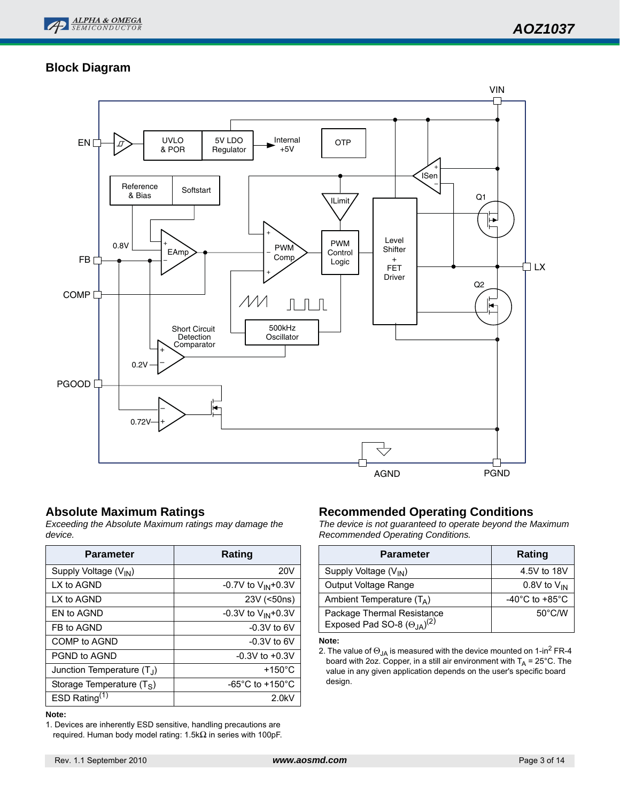

# *AOZ1037*

## **Block Diagram**



## **Absolute Maximum Ratings**

*Exceeding the Absolute Maximum ratings may damage the device.*

| <b>Parameter</b>                  | Rating                              |
|-----------------------------------|-------------------------------------|
| Supply Voltage (V <sub>IN</sub> ) | <b>20V</b>                          |
| LX to AGND                        | -0.7V to $V_{IN}$ +0.3V             |
| I X to AGND                       | 23V (<50ns)                         |
| FN to AGND                        | -0.3V to $V_{IN}$ +0.3V             |
| FB to AGND                        | $-0.3V$ to 6V                       |
| COMP to AGND                      | $-0.3V$ to 6V                       |
| PGND to AGND                      | $-0.3V$ to $+0.3V$                  |
| Junction Temperature $(T_1)$      | $+150^{\circ}$ C                    |
| Storage Temperature $(T_S)$       | $-65^{\circ}$ C to $+150^{\circ}$ C |
| ESD Rating $(1)$                  | 2.0kV                               |

#### **Note:**

1. Devices are inherently ESD sensitive, handling precautions are required. Human body model rating: 1.5kΩ in series with 100pF.

### **Recommended Operating Conditions**

*The device is not guaranteed to operate beyond the Maximum Recommended Operating Conditions.*

| <b>Parameter</b>                                                     | Rating                               |
|----------------------------------------------------------------------|--------------------------------------|
| Supply Voltage (V <sub>IN</sub> )                                    | 4.5V to 18V                          |
| Output Voltage Range                                                 | 0.8V to $V_{IN}$                     |
| Ambient Temperature $(T_A)$                                          | -40 $^{\circ}$ C to +85 $^{\circ}$ C |
| Package Thermal Resistance<br>Exposed Pad SO-8 $(\Theta_{JA})^{(2)}$ | $50^{\circ}$ C/W                     |

**Note:**

<sup>2.</sup> The value of  $\Theta_{\mathsf{JA}}$  is measured with the device mounted on 1-in $^2$  FR-4 board with 2oz. Copper, in a still air environment with T<sub>A</sub> = 25°C. The value in any given application depends on the user's specific board design.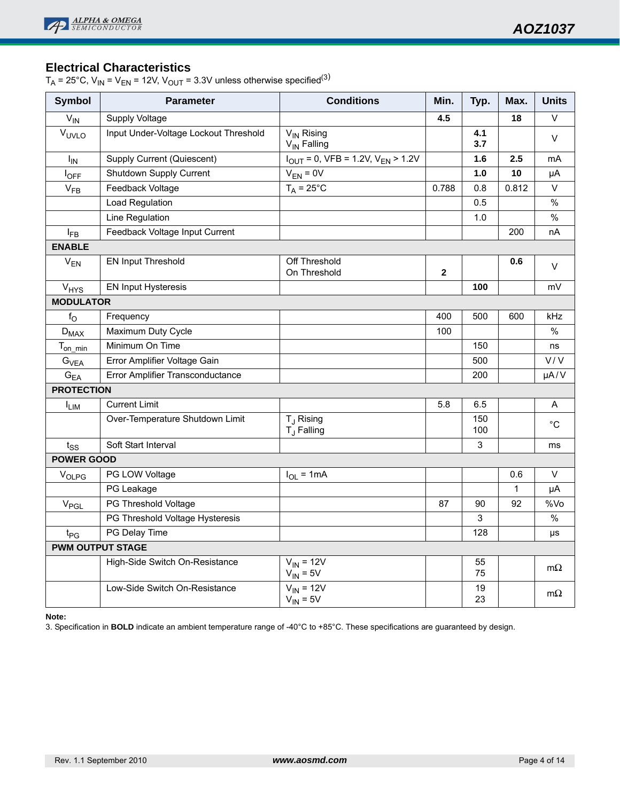## **Electrical Characteristics**

 $T_A = 25^{\circ}$ C, V<sub>IN</sub> = V<sub>EN</sub> = 12V, V<sub>OUT</sub> = 3.3V unless otherwise specified<sup>(3)</sup>

| <b>Symbol</b>     | <b>Parameter</b>                      | <b>Conditions</b>                                  | Min.         | Typ.       | Max.         | <b>Units</b> |
|-------------------|---------------------------------------|----------------------------------------------------|--------------|------------|--------------|--------------|
| $V_{IN}$          | Supply Voltage                        |                                                    | 4.5          |            | 18           | $\vee$       |
| VUVLO             | Input Under-Voltage Lockout Threshold | V <sub>IN</sub> Rising<br>V <sub>IN</sub> Falling  |              | 4.1<br>3.7 |              | V            |
| $I_{IN}$          | <b>Supply Current (Quiescent)</b>     | $I_{OUT} = 0$ , VFB = 1.2V, V <sub>EN</sub> > 1.2V |              | 1.6        | 2.5          | mA           |
| $I_{OFF}$         | Shutdown Supply Current               | $V_{EN} = 0V$                                      |              | 1.0        | 10           | μA           |
| $V_{FB}$          | Feedback Voltage                      | $T_A = 25^{\circ}C$                                | 0.788        | 0.8        | 0.812        | V            |
|                   | Load Regulation                       |                                                    |              | 0.5        |              | $\%$         |
|                   | Line Regulation                       |                                                    |              | 1.0        |              | $\%$         |
| $I_{FB}$          | Feedback Voltage Input Current        |                                                    |              |            | 200          | nA           |
| <b>ENABLE</b>     |                                       |                                                    |              |            |              |              |
| $V_{EN}$          | <b>EN Input Threshold</b>             | Off Threshold<br>On Threshold                      | $\mathbf{2}$ |            | 0.6          | $\vee$       |
| $V_{HYS}$         | <b>EN Input Hysteresis</b>            |                                                    |              | 100        |              | mV           |
| <b>MODULATOR</b>  |                                       |                                                    |              |            |              |              |
| $f_{\rm O}$       | Frequency                             |                                                    | 400          | 500        | 600          | kHz          |
| $D_{MAX}$         | Maximum Duty Cycle                    |                                                    | 100          |            |              | $\%$         |
| $T_{on\_min}$     | Minimum On Time                       |                                                    |              | 150        |              | ns           |
| $G_{VEA}$         | Error Amplifier Voltage Gain          |                                                    |              | 500        |              | V/V          |
| $G_{EA}$          | Error Amplifier Transconductance      |                                                    |              | 200        |              | $\mu A/V$    |
| <b>PROTECTION</b> |                                       |                                                    |              |            |              |              |
| <sup>I</sup> LIM  | <b>Current Limit</b>                  |                                                    | 5.8          | 6.5        |              | Α            |
|                   | Over-Temperature Shutdown Limit       | T <sub>J</sub> Rising<br>T <sub>.J</sub> Falling   |              | 150<br>100 |              | $^{\circ}C$  |
| $t_{SS}$          | Soft Start Interval                   |                                                    |              | 3          |              | ms           |
| <b>POWER GOOD</b> |                                       |                                                    |              |            |              |              |
| $V_{OLPG}$        | PG LOW Voltage                        | $I_{OL}$ = 1mA                                     |              |            | 0.6          | $\vee$       |
|                   | PG Leakage                            |                                                    |              |            | $\mathbf{1}$ | μA           |
| $V_{PGL}$         | PG Threshold Voltage                  |                                                    | 87           | 90         | 92           | %Vo          |
|                   | PG Threshold Voltage Hysteresis       |                                                    |              | 3          |              | $\%$         |
| $t_{PG}$          | PG Delay Time                         |                                                    |              | 128        |              | μs           |
|                   | <b>PWM OUTPUT STAGE</b>               |                                                    |              |            |              |              |
|                   | High-Side Switch On-Resistance        | $V_{IN}$ = 12V<br>$V_{IN} = 5V$                    |              | 55<br>75   |              | $m\Omega$    |
|                   | Low-Side Switch On-Resistance         | $V_{IN}$ = 12V<br>$V_{IN} = 5V$                    |              | 19<br>23   |              | $m\Omega$    |

**Note:**

3. Specification in **BOLD** indicate an ambient temperature range of -40°C to +85°C. These specifications are guaranteed by design.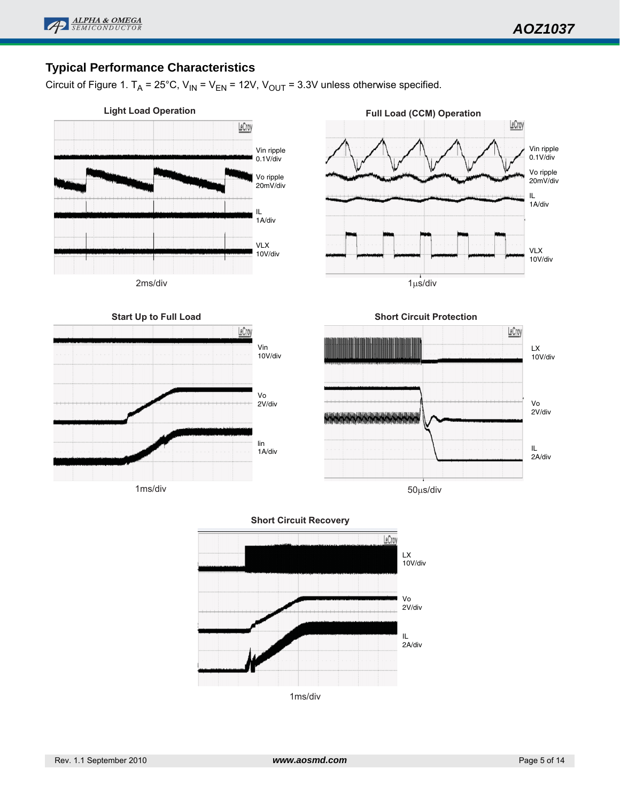

## **Typical Performance Characteristics**

Circuit of Figure 1.  $T_A = 25^{\circ}$ C, V<sub>IN</sub> = V<sub>EN</sub> = 12V, V<sub>OUT</sub> = 3.3V unless otherwise specified.



**Start Up to Full Load** 

1ms/div



1µs/div



50µs/div

#### **Short Circuit Recovery**

Vin 10V/div

LeCroy

Vo 2V/div

lin 1A/div



Rev. 1.1 September 2010 *www.aosmd.com* Page 5 of 14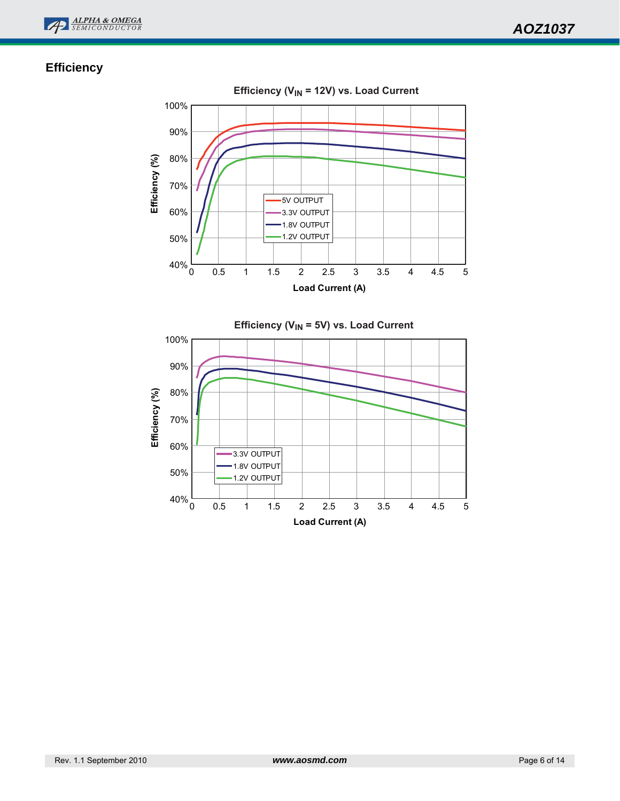



## **Efficiency**

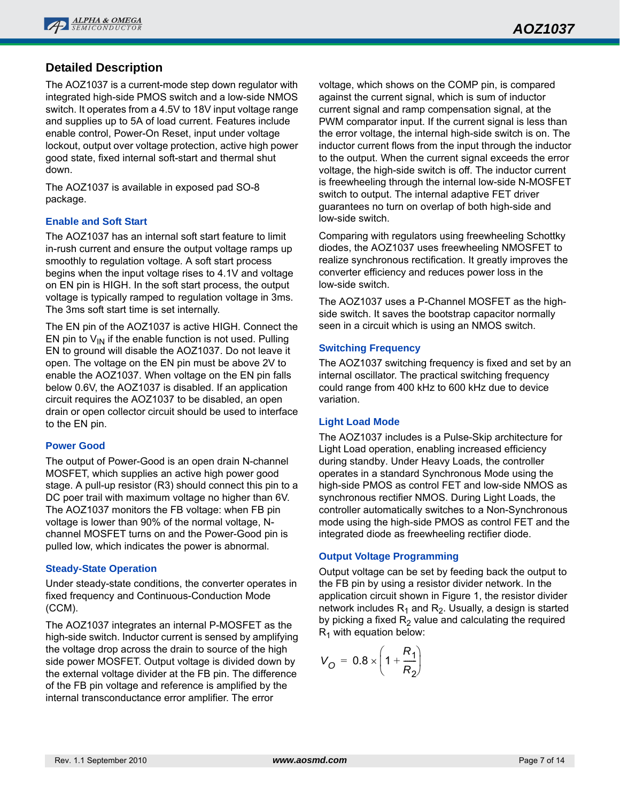

## **Detailed Description**

The AOZ1037 is a current-mode step down regulator with integrated high-side PMOS switch and a low-side NMOS switch. It operates from a 4.5V to 18V input voltage range and supplies up to 5A of load current. Features include enable control, Power-On Reset, input under voltage lockout, output over voltage protection, active high power good state, fixed internal soft-start and thermal shut down.

The AOZ1037 is available in exposed pad SO-8 package.

#### **Enable and Soft Start**

The AOZ1037 has an internal soft start feature to limit in-rush current and ensure the output voltage ramps up smoothly to regulation voltage. A soft start process begins when the input voltage rises to 4.1V and voltage on EN pin is HIGH. In the soft start process, the output voltage is typically ramped to regulation voltage in 3ms. The 3ms soft start time is set internally.

The EN pin of the AOZ1037 is active HIGH. Connect the EN pin to  $V_{IN}$  if the enable function is not used. Pulling EN to ground will disable the AOZ1037. Do not leave it open. The voltage on the EN pin must be above 2V to enable the AOZ1037. When voltage on the EN pin falls below 0.6V, the AOZ1037 is disabled. If an application circuit requires the AOZ1037 to be disabled, an open drain or open collector circuit should be used to interface to the EN pin.

#### **Power Good**

The output of Power-Good is an open drain N-channel MOSFET, which supplies an active high power good stage. A pull-up resistor (R3) should connect this pin to a DC poer trail with maximum voltage no higher than 6V. The AOZ1037 monitors the FB voltage: when FB pin voltage is lower than 90% of the normal voltage, Nchannel MOSFET turns on and the Power-Good pin is pulled low, which indicates the power is abnormal.

#### **Steady-State Operation**

Under steady-state conditions, the converter operates in fixed frequency and Continuous-Conduction Mode (CCM).

The AOZ1037 integrates an internal P-MOSFET as the high-side switch. Inductor current is sensed by amplifying the voltage drop across the drain to source of the high side power MOSFET. Output voltage is divided down by the external voltage divider at the FB pin. The difference of the FB pin voltage and reference is amplified by the internal transconductance error amplifier. The error

voltage, which shows on the COMP pin, is compared against the current signal, which is sum of inductor current signal and ramp compensation signal, at the PWM comparator input. If the current signal is less than the error voltage, the internal high-side switch is on. The inductor current flows from the input through the inductor to the output. When the current signal exceeds the error voltage, the high-side switch is off. The inductor current is freewheeling through the internal low-side N-MOSFET switch to output. The internal adaptive FET driver guarantees no turn on overlap of both high-side and low-side switch.

Comparing with regulators using freewheeling Schottky diodes, the AOZ1037 uses freewheeling NMOSFET to realize synchronous rectification. It greatly improves the converter efficiency and reduces power loss in the low-side switch.

The AOZ1037 uses a P-Channel MOSFET as the highside switch. It saves the bootstrap capacitor normally seen in a circuit which is using an NMOS switch.

#### **Switching Frequency**

The AOZ1037 switching frequency is fixed and set by an internal oscillator. The practical switching frequency could range from 400 kHz to 600 kHz due to device variation.

#### **Light Load Mode**

The AOZ1037 includes is a Pulse-Skip architecture for Light Load operation, enabling increased efficiency during standby. Under Heavy Loads, the controller operates in a standard Synchronous Mode using the high-side PMOS as control FET and low-side NMOS as synchronous rectifier NMOS. During Light Loads, the controller automatically switches to a Non-Synchronous mode using the high-side PMOS as control FET and the integrated diode as freewheeling rectifier diode.

#### **Output Voltage Programming**

Output voltage can be set by feeding back the output to the FB pin by using a resistor divider network. In the application circuit shown in Figure 1, the resistor divider network includes  $R_1$  and  $R_2$ . Usually, a design is started by picking a fixed  $R_2$  value and calculating the required  $R_1$  with equation below:

$$
V_{\rm O} = 0.8 \times \left(1 + \frac{R_1}{R_2}\right)
$$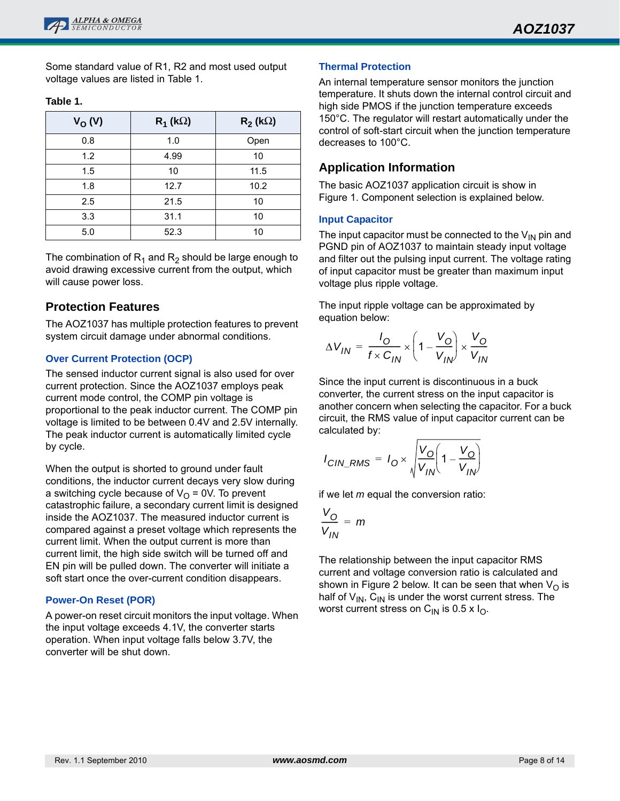Some standard value of R1, R2 and most used output voltage values are listed in Table 1.

| $V_{O} (V)$ | $R_1$ (k $\Omega$ ) | $R_2$ (k $\Omega$ ) |
|-------------|---------------------|---------------------|
| 0.8         | 1.0                 | Open                |
| 1.2         | 4.99                | 10                  |
| 1.5         | 10                  | 11.5                |
| 1.8         | 12.7                | 10.2                |
| 2.5         | 21.5                | 10                  |
| 3.3         | 31.1                | 10                  |
| 5.0         | 52.3                | 10                  |

#### **Table 1.**

The combination of  $R_1$  and  $R_2$  should be large enough to avoid drawing excessive current from the output, which will cause power loss.

### **Protection Features**

The AOZ1037 has multiple protection features to prevent system circuit damage under abnormal conditions.

#### **Over Current Protection (OCP)**

The sensed inductor current signal is also used for over current protection. Since the AOZ1037 employs peak current mode control, the COMP pin voltage is proportional to the peak inductor current. The COMP pin voltage is limited to be between 0.4V and 2.5V internally. The peak inductor current is automatically limited cycle by cycle.

When the output is shorted to ground under fault conditions, the inductor current decays very slow during a switching cycle because of  $V_{\rm O}$  = 0V. To prevent catastrophic failure, a secondary current limit is designed inside the AOZ1037. The measured inductor current is compared against a preset voltage which represents the current limit. When the output current is more than current limit, the high side switch will be turned off and EN pin will be pulled down. The converter will initiate a soft start once the over-current condition disappears.

#### **Power-On Reset (POR)**

A power-on reset circuit monitors the input voltage. When the input voltage exceeds 4.1V, the converter starts operation. When input voltage falls below 3.7V, the converter will be shut down.

#### **Thermal Protection**

An internal temperature sensor monitors the junction temperature. It shuts down the internal control circuit and high side PMOS if the junction temperature exceeds 150°C. The regulator will restart automatically under the control of soft-start circuit when the junction temperature decreases to 100°C.

### **Application Information**

The basic AOZ1037 application circuit is show in Figure 1. Component selection is explained below.

#### **Input Capacitor**

The input capacitor must be connected to the  $V_{IN}$  pin and PGND pin of AOZ1037 to maintain steady input voltage and filter out the pulsing input current. The voltage rating of input capacitor must be greater than maximum input voltage plus ripple voltage.

The input ripple voltage can be approximated by equation below:

$$
\Delta V_{IN} = \frac{I_O}{f \times C_{IN}} \times \left(1 - \frac{V_O}{V_{IN}}\right) \times \frac{V_O}{V_{IN}}
$$

Since the input current is discontinuous in a buck converter, the current stress on the input capacitor is another concern when selecting the capacitor. For a buck circuit, the RMS value of input capacitor current can be calculated by:

$$
I_{CIN\_RMS} = I_O \times \sqrt{\frac{V_O}{V_{IN}} \left(1 - \frac{V_O}{V_{IN}}\right)}
$$

if we let *m* equal the conversion ratio:

$$
\frac{V_O}{V_{IN}} = m
$$

The relationship between the input capacitor RMS current and voltage conversion ratio is calculated and shown in Figure 2 below. It can be seen that when  $V_{\Omega}$  is half of  $V_{IN}$ ,  $C_{IN}$  is under the worst current stress. The worst current stress on  $C_{\text{IN}}$  is 0.5 x  $I_{\text{O}}$ .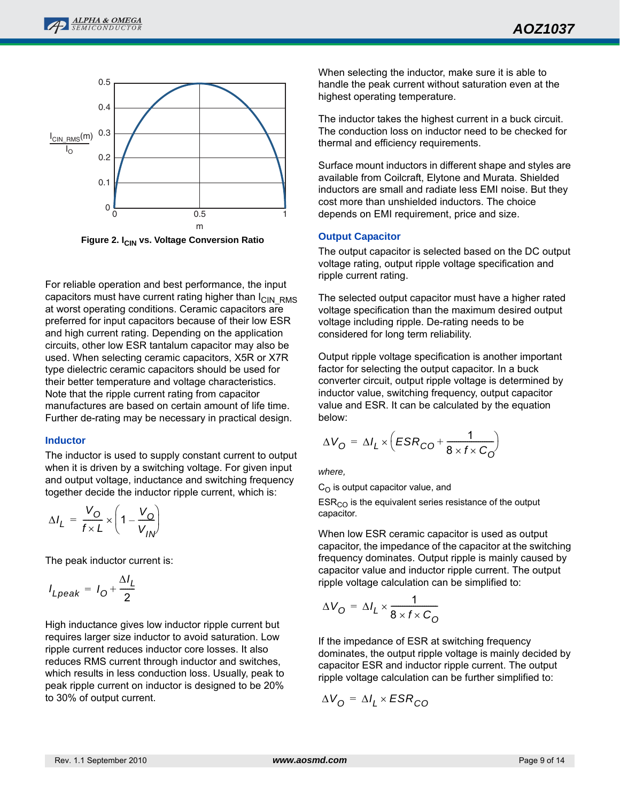



**Figure 2. I<sub>CIN</sub> vs. Voltage Conversion Ratio** 

For reliable operation and best performance, the input capacitors must have current rating higher than  $I_{\text{CIN-RMS}}$ at worst operating conditions. Ceramic capacitors are preferred for input capacitors because of their low ESR and high current rating. Depending on the application circuits, other low ESR tantalum capacitor may also be used. When selecting ceramic capacitors, X5R or X7R type dielectric ceramic capacitors should be used for their better temperature and voltage characteristics. Note that the ripple current rating from capacitor manufactures are based on certain amount of life time. Further de-rating may be necessary in practical design.

#### **Inductor**

The inductor is used to supply constant current to output when it is driven by a switching voltage. For given input and output voltage, inductance and switching frequency together decide the inductor ripple current, which is:

$$
\Delta I_L = \frac{V_O}{f \times L} \times \left(1 - \frac{V_O}{V_{IN}}\right)
$$

The peak inductor current is:

$$
I_{Lpeak} = I_0 + \frac{\Delta I_L}{2}
$$

High inductance gives low inductor ripple current but requires larger size inductor to avoid saturation. Low ripple current reduces inductor core losses. It also reduces RMS current through inductor and switches, which results in less conduction loss. Usually, peak to peak ripple current on inductor is designed to be 20% to 30% of output current.

When selecting the inductor, make sure it is able to handle the peak current without saturation even at the highest operating temperature.

The inductor takes the highest current in a buck circuit. The conduction loss on inductor need to be checked for thermal and efficiency requirements.

Surface mount inductors in different shape and styles are available from Coilcraft, Elytone and Murata. Shielded inductors are small and radiate less EMI noise. But they cost more than unshielded inductors. The choice depends on EMI requirement, price and size.

#### **Output Capacitor**

The output capacitor is selected based on the DC output voltage rating, output ripple voltage specification and ripple current rating.

The selected output capacitor must have a higher rated voltage specification than the maximum desired output voltage including ripple. De-rating needs to be considered for long term reliability.

Output ripple voltage specification is another important factor for selecting the output capacitor. In a buck converter circuit, output ripple voltage is determined by inductor value, switching frequency, output capacitor value and ESR. It can be calculated by the equation below:

$$
\Delta V_{\rm O} = \Delta I_{L} \times \left( ESR_{\rm CO} + \frac{1}{8 \times f \times C_{\rm O}} \right)
$$

*where,* 

 $C_{\Omega}$  is output capacitor value, and

 $ESR<sub>CO</sub>$  is the equivalent series resistance of the output capacitor.

When low ESR ceramic capacitor is used as output capacitor, the impedance of the capacitor at the switching frequency dominates. Output ripple is mainly caused by capacitor value and inductor ripple current. The output ripple voltage calculation can be simplified to:

$$
\Delta V_{\rm O} = \Delta I_L \times \frac{1}{8 \times f \times C_{\rm O}}
$$

If the impedance of ESR at switching frequency dominates, the output ripple voltage is mainly decided by capacitor ESR and inductor ripple current. The output ripple voltage calculation can be further simplified to:

$$
\Delta V_{\rm O} = \Delta I_L \times ESR_{\rm CO}
$$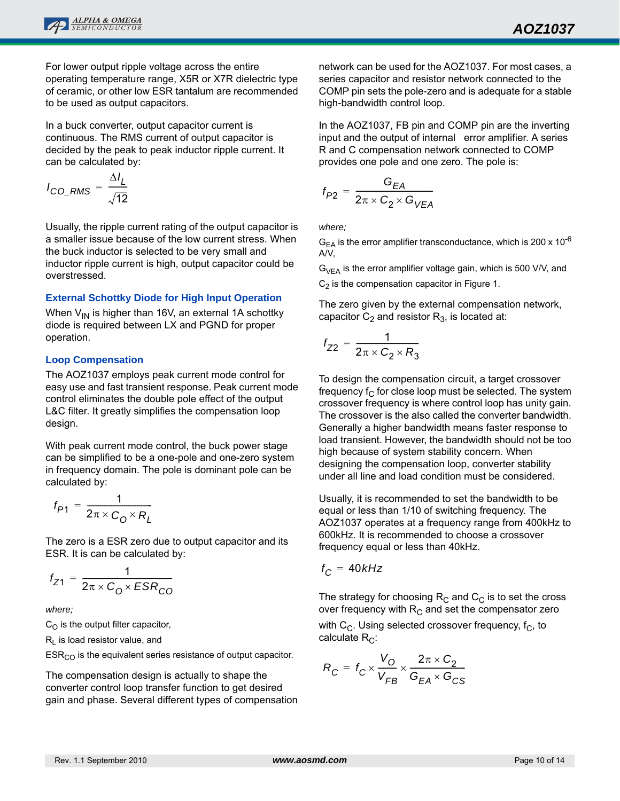

For lower output ripple voltage across the entire operating temperature range, X5R or X7R dielectric type of ceramic, or other low ESR tantalum are recommended to be used as output capacitors.

In a buck converter, output capacitor current is continuous. The RMS current of output capacitor is decided by the peak to peak inductor ripple current. It can be calculated by:

$$
I_{CO\_RMS} = \frac{\Delta I_L}{\sqrt{12}}
$$

Usually, the ripple current rating of the output capacitor is a smaller issue because of the low current stress. When the buck inductor is selected to be very small and inductor ripple current is high, output capacitor could be overstressed.

### **External Schottky Diode for High Input Operation**

When  $V_{IN}$  is higher than 16V, an external 1A schottky diode is required between LX and PGND for proper operation.

#### **Loop Compensation**

The AOZ1037 employs peak current mode control for easy use and fast transient response. Peak current mode control eliminates the double pole effect of the output L&C filter. It greatly simplifies the compensation loop design.

With peak current mode control, the buck power stage can be simplified to be a one-pole and one-zero system in frequency domain. The pole is dominant pole can be calculated by:

$$
f_{P1} = \frac{1}{2\pi \times C_0 \times R_L}
$$

The zero is a ESR zero due to output capacitor and its ESR. It is can be calculated by:

$$
f_{Z1} = \frac{1}{2\pi \times C_0 \times ESR_{CO}}
$$

*where;* 

 $C_O$  is the output filter capacitor,

 $R_L$  is load resistor value, and

 $ESR<sub>CO</sub>$  is the equivalent series resistance of output capacitor.

The compensation design is actually to shape the converter control loop transfer function to get desired gain and phase. Several different types of compensation network can be used for the AOZ1037. For most cases, a series capacitor and resistor network connected to the COMP pin sets the pole-zero and is adequate for a stable high-bandwidth control loop.

In the AOZ1037, FB pin and COMP pin are the inverting input and the output of internal error amplifier. A series R and C compensation network connected to COMP provides one pole and one zero. The pole is:

$$
f_{P2} = \frac{G_{EA}}{2\pi \times C_2 \times G_{VEA}}
$$

*where;*

 $G_{EA}$  is the error amplifier transconductance, which is 200 x 10<sup>-6</sup> A/V,

 $G_{VFA}$  is the error amplifier voltage gain, which is 500 V/V, and  $C_2$  is the compensation capacitor in Figure 1.

The zero given by the external compensation network, capacitor  $C_2$  and resistor  $R_3$ , is located at:

$$
f_{Z2} = \frac{1}{2\pi \times C_2 \times R_3}
$$

To design the compensation circuit, a target crossover frequency  $f_C$  for close loop must be selected. The system crossover frequency is where control loop has unity gain. The crossover is the also called the converter bandwidth. Generally a higher bandwidth means faster response to load transient. However, the bandwidth should not be too high because of system stability concern. When designing the compensation loop, converter stability under all line and load condition must be considered.

Usually, it is recommended to set the bandwidth to be equal or less than 1/10 of switching frequency. The AOZ1037 operates at a frequency range from 400kHz to 600kHz. It is recommended to choose a crossover frequency equal or less than 40kHz.

$$
f_C = 40kHz
$$

The strategy for choosing  $R_C$  and  $C_C$  is to set the cross over frequency with  $R_C$  and set the compensator zero

with  $C_C$ . Using selected crossover frequency,  $f_C$ , to calculate  $R_C$ :

$$
R_C = f_C \times \frac{V_O}{V_{FB}} \times \frac{2\pi \times C_2}{G_{EA} \times G_{CS}}
$$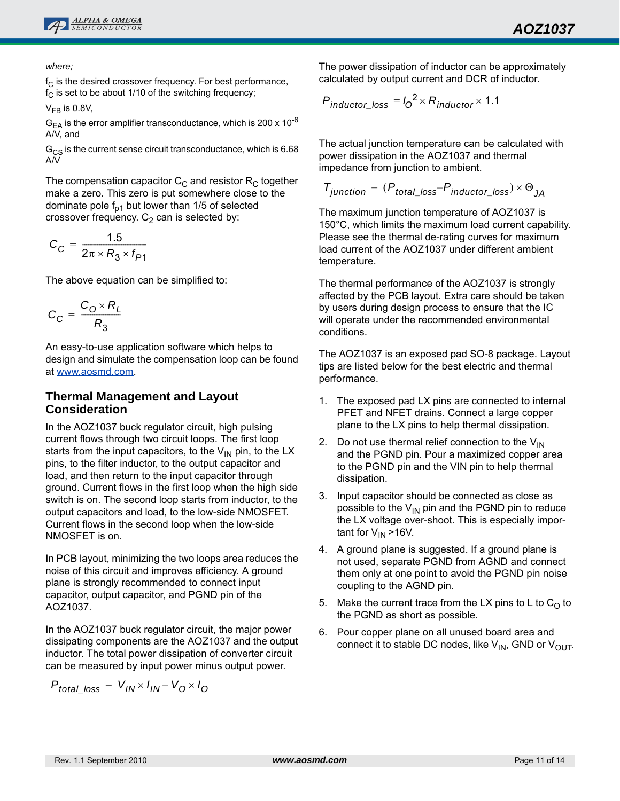

*where;*

 $f_C$  is the desired crossover frequency. For best performance,  $f_C$  is set to be about 1/10 of the switching frequency;

 $V_{FB}$  is 0.8V,

 $G_{EA}$  is the error amplifier transconductance, which is 200 x 10<sup>-6</sup> A/V, and

 $G_{CS}$  is the current sense circuit transconductance, which is 6.68 A/V

The compensation capacitor  $C_C$  and resistor  $R_C$  together make a zero. This zero is put somewhere close to the dominate pole  $f_{p1}$  but lower than 1/5 of selected crossover frequency.  $C_2$  can is selected by:

$$
C_C = \frac{1.5}{2\pi \times R_3 \times f_{P1}}
$$

The above equation can be simplified to:

$$
C_C = \frac{C_0 \times R_L}{R_3}
$$

An easy-to-use application software which helps to design and simulate the compensation loop can be found at [www.aosmd.com.](http://www.aosmd.com)

### **Thermal Management and Layout Consideration**

In the AOZ1037 buck regulator circuit, high pulsing current flows through two circuit loops. The first loop starts from the input capacitors, to the  $V_{IN}$  pin, to the LX pins, to the filter inductor, to the output capacitor and load, and then return to the input capacitor through ground. Current flows in the first loop when the high side switch is on. The second loop starts from inductor, to the output capacitors and load, to the low-side NMOSFET. Current flows in the second loop when the low-side NMOSFET is on.

In PCB layout, minimizing the two loops area reduces the noise of this circuit and improves efficiency. A ground plane is strongly recommended to connect input capacitor, output capacitor, and PGND pin of the AOZ1037.

In the AOZ1037 buck regulator circuit, the major power dissipating components are the AOZ1037 and the output inductor. The total power dissipation of converter circuit can be measured by input power minus output power.

$$
P_{total\_loss} = V_{IN} \times I_{IN} - V_{O} \times I_{O}
$$

The power dissipation of inductor can be approximately calculated by output current and DCR of inductor.

$$
P_{inductor\_loss} = I_0^2 \times R_{inductor} \times 1.1
$$

The actual junction temperature can be calculated with power dissipation in the AOZ1037 and thermal impedance from junction to ambient.

$$
T_{junction} = (P_{total\_loss} - P_{inductor\_loss}) \times \Theta_{JA}
$$

The maximum junction temperature of AOZ1037 is 150°C, which limits the maximum load current capability. Please see the thermal de-rating curves for maximum load current of the AOZ1037 under different ambient temperature.

The thermal performance of the AOZ1037 is strongly affected by the PCB layout. Extra care should be taken by users during design process to ensure that the IC will operate under the recommended environmental conditions.

The AOZ1037 is an exposed pad SO-8 package. Layout tips are listed below for the best electric and thermal performance.

- 1. The exposed pad LX pins are connected to internal PFET and NFET drains. Connect a large copper plane to the LX pins to help thermal dissipation.
- 2. Do not use thermal relief connection to the  $V_{IN}$ and the PGND pin. Pour a maximized copper area to the PGND pin and the VIN pin to help thermal dissipation.
- 3. Input capacitor should be connected as close as possible to the  $V_{IN}$  pin and the PGND pin to reduce the LX voltage over-shoot. This is especially important for  $V_{IN}$  >16V.
- 4. A ground plane is suggested. If a ground plane is not used, separate PGND from AGND and connect them only at one point to avoid the PGND pin noise coupling to the AGND pin.
- 5. Make the current trace from the LX pins to L to  $C_{\Omega}$  to the PGND as short as possible.
- 6. Pour copper plane on all unused board area and connect it to stable DC nodes, like  $V_{IN}$ , GND or  $V_{OUT}$ .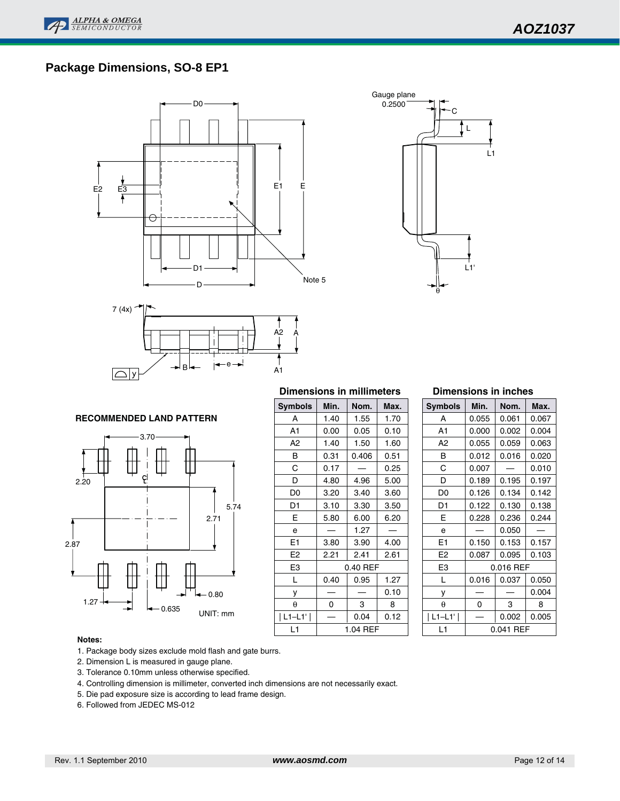## **Package Dimensions, SO-8 EP1**







#### **RECOMMENDED LAND PATTERN**



#### **Dimensions in millimeters**

| Symbols        | Min.     | Max.     |      |  |  |
|----------------|----------|----------|------|--|--|
| A              | 1.40     | 1.55     | 1.70 |  |  |
| A <sub>1</sub> | 0.00     | 0.05     | 0.10 |  |  |
| A2             | 1.40     | 1.50     | 1.60 |  |  |
| B              | 0.31     | 0.406    | 0.51 |  |  |
| С              | 0.17     |          | 0.25 |  |  |
| D              | 4.80     | 4.96     | 5.00 |  |  |
| D <sub>0</sub> | 3.20     | 3.40     | 3.60 |  |  |
| D1             | 3.10     | 3.30     | 3.50 |  |  |
| E              | 5.80     | 6.00     | 6.20 |  |  |
| e              |          | 1.27     |      |  |  |
| E <sub>1</sub> | 3.80     | 3.90     | 4.00 |  |  |
| E <sub>2</sub> | 2.21     | 2.41     | 2.61 |  |  |
| E <sub>3</sub> |          | 0.40 REF |      |  |  |
| L              | 0.40     | 0.95     | 1.27 |  |  |
| у              |          |          | 0.10 |  |  |
| θ              | 0        | 3        | 8    |  |  |
| $L1-L1'$       |          | 0.04     | 0.12 |  |  |
| L1             | 1.04 REF |          |      |  |  |

#### **Dimensions in inches**

| <b>Symbols</b> | Min.      | Nom.      | Max.  |  |
|----------------|-----------|-----------|-------|--|
| А              | 0.055     | 0.061     | 0.067 |  |
| A1             | 0.000     | 0.002     | 0.004 |  |
| A2             | 0.055     | 0.059     | 0.063 |  |
| в              | 0.012     | 0.016     | 0.020 |  |
| Ć              | 0.007     |           | 0.010 |  |
| D              | 0.189     | 0.195     | 0.197 |  |
| D <sub>0</sub> | 0.126     | 0.134     | 0.142 |  |
| D1             | 0.122     | 0.130     | 0.138 |  |
| F              | 0.228     | 0.236     | 0.244 |  |
| e              |           | 0.050     |       |  |
| E1             | 0.150     | 0.153     | 0.157 |  |
| E <sub>2</sub> | 0.087     | 0.095     | 0.103 |  |
| E3             | 0.016 REF |           |       |  |
| L              | 0.016     | 0.037     | 0.050 |  |
| у              |           |           | 0.004 |  |
| $\theta$       | ი         | 3         | 8     |  |
| L1–L1'         |           | 0.002     | 0.005 |  |
| l 1            |           | 0.041 RFF |       |  |

1. Package body sizes exclude mold flash and gate burrs.

- 2. Dimension L is measured in gauge plane.
- 3. Tolerance 0.10mm unless otherwise specified.
- 4. Controlling dimension is millimeter, converted inch dimensions are not necessarily exact.
- 5. Die pad exposure size is according to lead frame design.
- 6. Followed from JEDEC MS-012

**Notes:**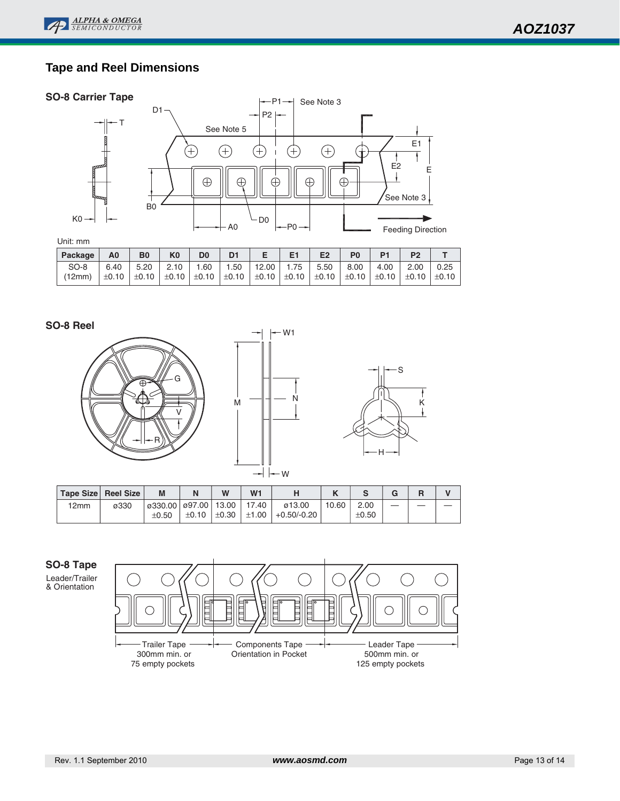## **Tape and Reel Dimensions**

#### **SO-8 Carrier Tape**



| Package | A0 | B <sub>0</sub> | K <sub>0</sub>                                      | D0 |                     | Е | E1 | E <sub>2</sub>                                                                                                                               | P <sub>0</sub> |             |      |      |
|---------|----|----------------|-----------------------------------------------------|----|---------------------|---|----|----------------------------------------------------------------------------------------------------------------------------------------------|----------------|-------------|------|------|
| SO-8    |    |                | $\vert$ 6.40 $\vert$ 5.20 $\vert$ 2.10 $\vert$ 1.60 |    | 1.50   12.00   1.75 |   |    | 5.50                                                                                                                                         | 8.00           | .,   4.00 ' | 2.00 | 0.25 |
| (12mm)  |    |                |                                                     |    |                     |   |    | $\pm 0.10$   $\pm 0.10$   $\pm 0.10$   $\pm 0.10$   $\pm 0.10$   $\pm 0.10$   $\pm 0.10$   $\pm 0.10$   $\pm 0.10$   $\pm 0.10$   $\pm 0.10$ |                |             |      |      |

#### **SO-8 Reel**







|      | Tape Size Reel Size | M                |                | W          | W <sub>1</sub> |               |       |            |  |  |
|------|---------------------|------------------|----------------|------------|----------------|---------------|-------|------------|--|--|
| 12mm | ø330                | $\varphi$ 330.00 | ø97.00   13.00 |            | 17.40          | ø13.00        | 10.60 | 2.00       |  |  |
|      |                     | $\pm 0.50$       | ±0.10          | $\pm 0.30$ | $\pm 1.00$     | $+0.50/-0.20$ |       | $\pm 0.50$ |  |  |

### **SO-8 Tape**

Leader/Trailer & Orientation